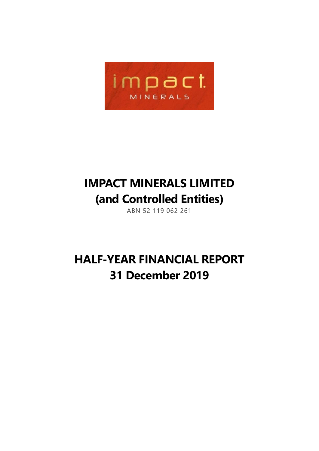

# **IMPACT MINERALS LIMITED (and Controlled Entities)**

ABN 52 119 062 261

# **HALF-YEAR FINANCIAL REPORT 31 December 2019**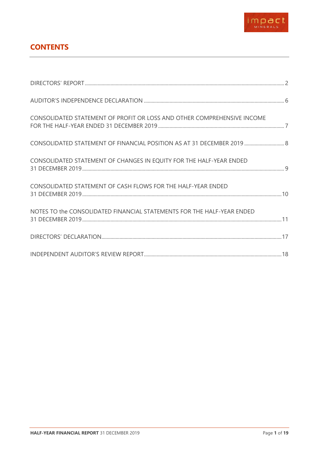

# **CONTENTS**

| CONSOLIDATED STATEMENT OF PROFIT OR LOSS AND OTHER COMPREHENSIVE INCOME |  |
|-------------------------------------------------------------------------|--|
| CONSOLIDATED STATEMENT OF FINANCIAL POSITION AS AT 31 DECEMBER 2019  8  |  |
| CONSOLIDATED STATEMENT OF CHANGES IN EQUITY FOR THE HALF-YEAR ENDED     |  |
| CONSOLIDATED STATEMENT OF CASH FLOWS FOR THE HALF-YEAR ENDED            |  |
| NOTES TO the CONSOLIDATED FINANCIAL STATEMENTS FOR THE HALF-YEAR ENDED  |  |
|                                                                         |  |
|                                                                         |  |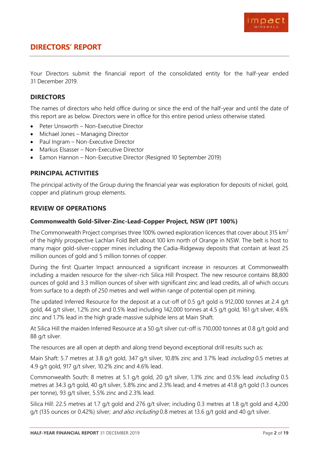

## <span id="page-2-0"></span>**DIRECTORS' REPORT**

Your Directors submit the financial report of the consolidated entity for the half-year ended 31 December 2019.

#### **DIRECTORS**

The names of directors who held office during or since the end of the half-year and until the date of this report are as below. Directors were in office for this entire period unless otherwise stated.

- Peter Unsworth Non-Executive Director
- Michael Jones Managing Director
- Paul Ingram Non-Executive Director
- Markus Elsasser Non-Executive Director
- Eamon Hannon Non-Executive Director (Resigned 10 September 2019)

#### **PRINCIPAL ACTIVITIES**

The principal activity of the Group during the financial year was exploration for deposits of nickel, gold, copper and platinum group elements.

#### **REVIEW OF OPERATIONS**

#### **Commonwealth Gold-Silver-Zinc-Lead-Copper Project, NSW (IPT 100%)**

The Commonwealth Project comprises three 100% owned exploration licences that cover about 315 km<sup>2</sup> of the highly prospective Lachlan Fold Belt about 100 km north of Orange in NSW. The belt is host to many major gold-silver-copper mines including the Cadia-Ridgeway deposits that contain at least 25 million ounces of gold and 5 million tonnes of copper.

During the first Quarter Impact announced a significant increase in resources at Commonwealth including a maiden resource for the silver-rich Silica Hill Prospect. The new resource contains 88,800 ounces of gold and 3.3 million ounces of silver with significant zinc and lead credits, all of which occurs from surface to a depth of 250 metres and well within range of potential open pit mining.

The updated Inferred Resource for the deposit at a cut-off of 0.5 g/t gold is 912,000 tonnes at 2.4 g/t gold, 44 g/t silver, 1.2% zinc and 0.5% lead including 142,000 tonnes at 4.5 g/t gold, 161 g/t silver, 4.6% zinc and 1.7% lead in the high grade massive sulphide lens at Main Shaft.

At Silica Hill the maiden Inferred Resource at a 50 g/t silver cut-off is 710,000 tonnes at 0.8 g/t gold and 88 g/t silver.

The resources are all open at depth and along trend beyond exceptional drill results such as:

Main Shaft: 5.7 metres at 3.8 g/t gold, 347 g/t silver, 10.8% zinc and 3.7% lead *including* 0.5 metres at 4.9 g/t gold, 917 g/t silver, 10.2% zinc and 4.6% lead.

Commonwealth South: 8 metres at 5.1 g/t gold, 20 g/t silver, 1.3% zinc and 0.5% lead including 0.5 metres at 34.3 g/t gold, 40 g/t silver, 5.8% zinc and 2.3% lead; and 4 metres at 41.8 g/t gold (1.3 ounces per tonne), 93 g/t silver, 5.5% zinc and 2.3% lead.

Silica Hill: 22.5 metres at 1.7 g/t gold and 276 g/t silver; including 0.3 metres at 1.8 g/t gold and 4,200 g/t (135 ounces or 0.42%) silver; and also including 0.8 metres at 13.6 g/t gold and 40 g/t silver.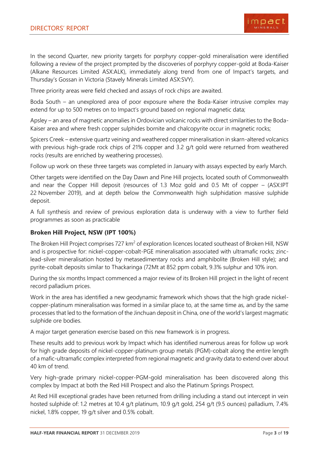

In the second Quarter, new priority targets for porphyry copper-gold mineralisation were identified following a review of the project prompted by the discoveries of porphyry copper-gold at Boda-Kaiser (Alkane Resources Limited ASX:ALK), immediately along trend from one of Impact's targets, and Thursday's Gossan in Victoria (Stavely Minerals Limited ASX:SVY).

Three priority areas were field checked and assays of rock chips are awaited.

Boda South – an unexplored area of poor exposure where the Boda-Kaiser intrusive complex may extend for up to 500 metres on to Impact's ground based on regional magnetic data;

Apsley – an area of magnetic anomalies in Ordovician volcanic rocks with direct similarities to the Boda-Kaiser area and where fresh copper sulphides bornite and chalcopyrite occur in magnetic rocks;

Spicers Creek – extensive quartz veining and weathered copper mineralisation in skarn-altered volcanics with previous high-grade rock chips of 21% copper and 3.2 g/t gold were returned from weathered rocks (results are enriched by weathering processes).

Follow up work on these three targets was completed in January with assays expected by early March.

Other targets were identified on the Day Dawn and Pine Hill projects, located south of Commonwealth and near the Copper Hill deposit (resources of 1.3 Moz gold and 0.5 Mt of copper – (ASX:IPT 22 November 2019), and at depth below the Commonwealth high sulphidation massive sulphide deposit.

A full synthesis and review of previous exploration data is underway with a view to further field programmes as soon as practicable

#### **Broken Hill Project, NSW (IPT 100%)**

The Broken Hill Project comprises 727 km<sup>2</sup> of exploration licences located southeast of Broken Hill, NSW and is prospective for: nickel-copper-cobalt-PGE mineralisation associated with ultramafic rocks; zinclead-silver mineralisation hosted by metasedimentary rocks and amphibolite (Broken Hill style); and pyrite-cobalt deposits similar to Thackaringa (72Mt at 852 ppm cobalt, 9.3% sulphur and 10% iron.

During the six months Impact commenced a major review of its Broken Hill project in the light of recent record palladium prices.

Work in the area has identified a new geodynamic framework which shows that the high grade nickelcopper-platinum mineralisation was formed in a similar place to, at the same time as, and by the same processes that led to the formation of the Jinchuan deposit in China, one of the world's largest magmatic sulphide ore bodies.

A major target generation exercise based on this new framework is in progress.

These results add to previous work by Impact which has identified numerous areas for follow up work for high grade deposits of nickel-copper-platinum group metals (PGM)-cobalt along the entire length of a mafic-ultramafic complex interpreted from regional magnetic and gravity data to extend over about 40 km of trend.

Very high-grade primary nickel-copper-PGM-gold mineralisation has been discovered along this complex by Impact at both the Red Hill Prospect and also the Platinum Springs Prospect.

At Red Hill exceptional grades have been returned from drilling including a stand out intercept in vein hosted sulphide of: 1.2 metres at 10.4 g/t platinum, 10.9 g/t gold, 254 g/t (9.5 ounces) palladium, 7.4% nickel, 1.8% copper, 19 g/t silver and 0.5% cobalt.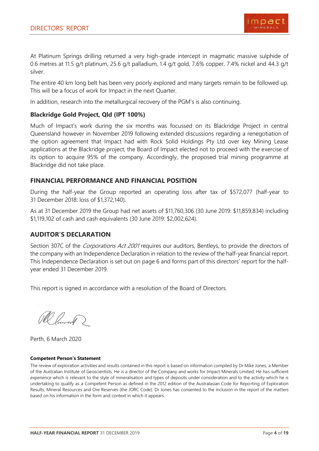

At Platinum Springs drilling returned a very high-grade intercept in magmatic massive sulphide of 0.6 metres at 11.5 g/t platinum, 25.6 g/t palladium, 1.4 g/t gold, 7.6% copper, 7.4% nickel and 44.3 g/t silver.

The entire 40 km long belt has been very poorly explored and many targets remain to be followed up. This will be a focus of work for Impact in the next Quarter.

In addition, research into the metallurgical recovery of the PGM's is also continuing.

#### **Blackridge Gold Project, Qld (IPT 100%)**

Much of Impact's work during the six months was focussed on its Blackridge Project in central Queensland however in November 2019 following extended discussions regarding a renegotiation of the option agreement that Impact had with Rock Solid Holdings Pty Ltd over key Mining Lease applications at the Blackridge project, the Board of Impact elected not to proceed with the exercise of its option to acquire 95% of the company. Accordingly, the proposed trial mining programme at Blackridge did not take place.

#### **FINANCIAL PERFORMANCE AND FINANCIAL POSITION**

During the half-year the Group reported an operating loss after tax of \$572,077 (half-year to 31 December 2018: loss of \$1,372,140).

As at 31 December 2019 the Group had net assets of \$11,760,306 (30 June 2019: \$11,859,834) including \$1,119,102 of cash and cash equivalents (30 June 2019: \$2,002,624).

## **AUDITOR'S DECLARATION**

Section 307C of the *Corporations Act 2001* requires our auditors, Bentleys, to provide the directors of the company with an Independence Declaration in relation to the review of the half-year financial report. This Independence Declaration is set out on page 6 and forms part of this directors' report for the halfyear ended 31 December 2019.

This report is signed in accordance with a resolution of the Board of Directors.

Pl Puront?

Perth, 6 March 2020

#### **Competent Person's Statement**

The review of exploration activities and results contained in this report is based on information compiled by Dr Mike Jones, a Member of the Australian Institute of Geoscientists. He is a director of the Company and works for Impact Minerals Limited. He has sufficient experience which is relevant to the style of mineralisation and types of deposits under consideration and to the activity which he is undertaking to qualify as a Competent Person as defined in the 2012 edition of the Australasian Code for Reporting of Exploration Results, Mineral Resources and Ore Reserves (the JORC Code). Dr Jones has consented to the inclusion in the report of the matters based on his information in the form and context in which it appears.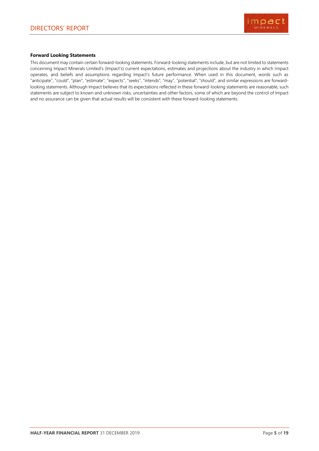

#### **Forward Looking Statements**

This document may contain certain forward-looking statements. Forward-looking statements include, but are not limited to statements concerning Impact Minerals Limited's (Impact's) current expectations, estimates and projections about the industry in which Impact operates, and beliefs and assumptions regarding Impact's future performance. When used in this document, words such as "anticipate", "could", "plan", "estimate", "expects", "seeks", "intends", "may", "potential", "should", and similar expressions are forwardlooking statements. Although Impact believes that its expectations reflected in these forward-looking statements are reasonable, such statements are subject to known and unknown risks, uncertainties and other factors, some of which are beyond the control of Impact and no assurance can be given that actual results will be consistent with these forward-looking statements.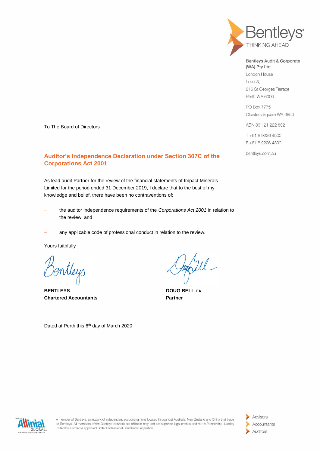

Bentleys Audit & Corporate (WA) Pty Ltd London House

Level 3. 216 St Georges Terrace Perth WA 6000

PO Box 7775 Cloisters Square WA 6850

ABN 33 121 222 802

T+61892264500 F +61 8 9226 4300

bentleys.com.au

To The Board of Directors

#### **Auditor's Independence Declaration under Section 307C of the Corporations Act 2001**

As lead audit Partner for the review of the financial statements of Impact Minerals Limited for the period ended 31 December 2019, I declare that to the best of my knowledge and belief, there have been no contraventions of:

- the auditor independence requirements of the *Corporations Act 2001* in relation to the review; and
- any applicable code of professional conduct in relation to the review.

Yours faithfully

mtleys

**BENTLEYS** DOUG BELL CA **Chartered Accountants Partner** 

Dated at Perth this 6<sup>th</sup> day of March 2020



A member of Bentleys, a network of independent accounting firms located throughout Australia, New Zealand and China that trade as Bentleys. All members of the Bentleys Network are affiliated only and are separate legal entities and not in Partnership. Liability limited by a scheme approved under Professional Standards Legislation.

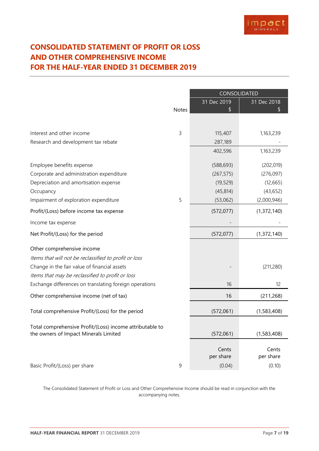# <span id="page-7-0"></span>**CONSOLIDATED STATEMENT OF PROFIT OR LOSS AND OTHER COMPREHENSIVE INCOME FOR THE HALF-YEAR ENDED 31 DECEMBER 2019**

|                                                          |             | CONSOLIDATED       |                    |  |
|----------------------------------------------------------|-------------|--------------------|--------------------|--|
|                                                          | Notes       | 31 Dec 2019        | 31 Dec 2018        |  |
|                                                          |             |                    |                    |  |
| Interest and other income                                | 3           | 115,407            | 1,163,239          |  |
| Research and development tax rebate                      |             | 287,189            |                    |  |
|                                                          |             | 402,596            | 1,163,239          |  |
| Employee benefits expense                                |             | (588, 693)         | (202, 019)         |  |
| Corporate and administration expenditure                 |             | (267, 575)         | (276,097)          |  |
| Depreciation and amortisation expense                    |             | (19, 529)          | (12, 665)          |  |
| Occupancy                                                |             | (45, 814)          | (43, 652)          |  |
| Impairment of exploration expenditure                    | 5           | (53,062)           | (2,000,946)        |  |
| Profit/(Loss) before income tax expense                  |             | (572, 077)         | (1,372,140)        |  |
| Income tax expense                                       |             |                    |                    |  |
| Net Profit/(Loss) for the period                         |             | (572, 077)         | (1,372,140)        |  |
| Other comprehensive income                               |             |                    |                    |  |
| Items that will not be reclassified to profit or loss    |             |                    |                    |  |
| Change in the fair value of financial assets             |             |                    | (211, 280)         |  |
| Items that may be reclassified to profit or loss         |             |                    |                    |  |
| Exchange differences on translating foreign operations   |             | 16                 | 12                 |  |
| Other comprehensive income (net of tax)                  |             | 16                 | (211, 268)         |  |
| Total comprehensive Profit/(Loss) for the period         |             | (572,061)          | (1,583,408)        |  |
| Total comprehensive Profit/(Loss) income attributable to |             |                    |                    |  |
| the owners of Impact Minerals Limited                    |             | (572,061)          | (1,583,408)        |  |
|                                                          |             | Cents<br>per share | Cents<br>per share |  |
| Basic Profit/(Loss) per share                            | $\mathsf 9$ | (0.04)             | (0.10)             |  |

The Consolidated Statement of Profit or Loss and Other Comprehensive Income should be read in conjunction with the accompanying notes.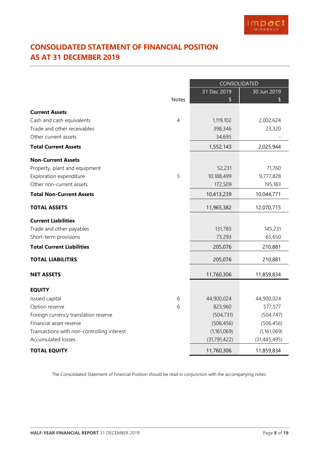# <span id="page-8-0"></span>**CONSOLIDATED STATEMENT OF FINANCIAL POSITION AS AT 31 DECEMBER 2019**

|                                            |                | CONSOLIDATED      |                   |  |
|--------------------------------------------|----------------|-------------------|-------------------|--|
|                                            | <b>Notes</b>   | 31 Dec 2019<br>\$ | 30 Jun 2019<br>\$ |  |
|                                            |                |                   |                   |  |
| <b>Current Assets</b>                      |                |                   |                   |  |
| Cash and cash equivalents                  | $\overline{4}$ | 1,119,102         | 2,002,624         |  |
| Trade and other receivables                |                | 398,346           | 23,320            |  |
| Other current assets                       |                | 34,695            |                   |  |
| <b>Total Current Assets</b>                |                | 1,552,143         | 2,025,944         |  |
| <b>Non-Current Assets</b>                  |                |                   |                   |  |
| Property, plant and equipment              |                | 52,231            | 71,760            |  |
| Exploration expenditure                    | 5              | 10,188,499        | 9,777,828         |  |
| Other non-current assets                   |                | 172,509           | 195,183           |  |
| <b>Total Non-Current Assets</b>            |                | 10,413,239        | 10,044,771        |  |
| <b>TOTAL ASSETS</b>                        |                | 11,965,382        | 12,070,715        |  |
| <b>Current Liabilities</b>                 |                |                   |                   |  |
| Trade and other payables                   |                | 131,783           | 145,231           |  |
| Short-term provisions                      |                | 73,293            | 65,650            |  |
| <b>Total Current Liabilities</b>           |                | 205,076           | 210,881           |  |
| <b>TOTAL LIABILITIES</b>                   |                | 205,076           | 210,881           |  |
| <b>NET ASSETS</b>                          |                | 11,760,306        | 11,859,834        |  |
| <b>EQUITY</b>                              |                |                   |                   |  |
| Issued capital                             | 6              | 44,900,024        | 44,900,024        |  |
| Option reserve                             | 6              | 823,960           | 577,577           |  |
| Foreign currency translation reserve       |                | (504, 731)        | (504, 747)        |  |
| Financial asset reserve                    |                | (506, 456)        | (506, 456)        |  |
| Transactions with non-controlling interest |                | (1,161,069)       | (1,161,069)       |  |
| Accumulated losses                         |                | (31, 791, 422)    | (31, 445, 495)    |  |
| <b>TOTAL EQUITY</b>                        |                | 11,760,306        | 11,859,834        |  |

The Consolidated Statement of Financial Position should be read in conjunction with the accompanying notes.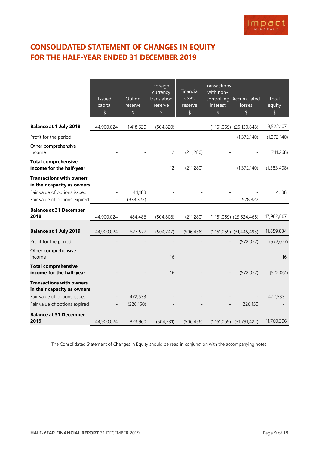# <span id="page-9-0"></span>**CONSOLIDATED STATEMENT OF CHANGES IN EQUITY FOR THE HALF-YEAR ENDED 31 DECEMBER 2019**

|                                                                | <b>Issued</b><br>capital<br>\$ | Option<br>reserve<br>$\sqrt{2}$ | Foreign<br>currency<br>translation<br>reserve<br>\$ | Financial<br>asset<br>reserve<br>\$ | Transactions<br>with non-<br>controlling<br>interest<br>\$ | Accumulated<br>losses<br>\$  | Total<br>equity<br>\$ |
|----------------------------------------------------------------|--------------------------------|---------------------------------|-----------------------------------------------------|-------------------------------------|------------------------------------------------------------|------------------------------|-----------------------|
| <b>Balance at 1 July 2018</b>                                  | 44,900,024                     | 1,418,620                       | (504, 820)                                          |                                     |                                                            | $(1,161,069)$ $(25,130,648)$ | 19,522,107            |
| Profit for the period                                          |                                |                                 |                                                     |                                     |                                                            | (1, 372, 140)                | (1, 372, 140)         |
| Other comprehensive<br>income                                  |                                |                                 | 12                                                  | (211, 280)                          |                                                            |                              | (211, 268)            |
| <b>Total comprehensive</b><br>income for the half-year         |                                |                                 | 12                                                  | (211, 280)                          |                                                            | (1, 372, 140)                | (1,583,408)           |
| <b>Transactions with owners</b><br>in their capacity as owners |                                |                                 |                                                     |                                     |                                                            |                              |                       |
| Fair value of options issued                                   |                                | 44,188                          |                                                     |                                     |                                                            |                              | 44,188                |
| Fair value of options expired                                  |                                | (978, 322)                      |                                                     |                                     |                                                            | 978,322                      |                       |
| <b>Balance at 31 December</b><br>2018                          | 44,900,024                     | 484,486                         | (504, 808)                                          | (211, 280)                          |                                                            | $(1,161,069)$ $(25,524,466)$ | 17,982,887            |
| <b>Balance at 1 July 2019</b>                                  | 44,900,024                     | 577,577                         | (504, 747)                                          | (506, 456)                          |                                                            | $(1,161,069)$ $(31,445,495)$ | 11,859,834            |
| Profit for the period                                          |                                |                                 |                                                     |                                     |                                                            | (572, 077)                   | (572, 077)            |
| Other comprehensive<br>income                                  |                                |                                 | 16                                                  |                                     |                                                            |                              | 16                    |
| <b>Total comprehensive</b><br>income for the half-year         |                                |                                 | 16                                                  |                                     |                                                            | (572, 077)                   | (572,061)             |
| <b>Transactions with owners</b><br>in their capacity as owners |                                |                                 |                                                     |                                     |                                                            |                              |                       |
| Fair value of options issued                                   |                                | 472,533                         |                                                     |                                     |                                                            |                              | 472,533               |
| Fair value of options expired                                  |                                | (226, 150)                      |                                                     |                                     |                                                            | 226,150                      |                       |
| <b>Balance at 31 December</b><br>2019                          | 44,900,024                     | 823,960                         | (504, 731)                                          | (506, 456)                          |                                                            | $(1,161,069)$ $(31,791,422)$ | 11,760,306            |

The Consolidated Statement of Changes in Equity should be read in conjunction with the accompanying notes.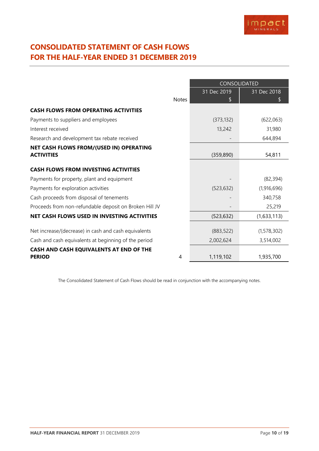# <span id="page-10-0"></span>**CONSOLIDATED STATEMENT OF CASH FLOWS FOR THE HALF-YEAR ENDED 31 DECEMBER 2019**

|                                                        |              | CONSOLIDATED |             |  |
|--------------------------------------------------------|--------------|--------------|-------------|--|
|                                                        |              | 31 Dec 2019  | 31 Dec 2018 |  |
|                                                        | <b>Notes</b> | S            | S           |  |
| <b>CASH FLOWS FROM OPERATING ACTIVITIES</b>            |              |              |             |  |
| Payments to suppliers and employees                    |              | (373, 132)   | (622,063)   |  |
| Interest received                                      |              | 13,242       | 31,980      |  |
| Research and development tax rebate received           |              |              | 644,894     |  |
| NET CASH FLOWS FROM/(USED IN) OPERATING                |              |              |             |  |
| <b>ACTIVITIES</b>                                      |              | (359, 890)   | 54,811      |  |
| <b>CASH FLOWS FROM INVESTING ACTIVITIES</b>            |              |              |             |  |
| Payments for property, plant and equipment             |              |              | (82, 394)   |  |
| Payments for exploration activities                    |              | (523, 632)   | (1,916,696) |  |
| Cash proceeds from disposal of tenements               |              |              | 340,758     |  |
| Proceeds from non-refundable deposit on Broken Hill JV |              |              | 25,219      |  |
| NET CASH FLOWS USED IN INVESTING ACTIVITIES            |              | (523, 632)   | (1,633,113) |  |
| Net increase/(decrease) in cash and cash equivalents   |              | (883, 522)   | (1,578,302) |  |
| Cash and cash equivalents at beginning of the period   |              | 2,002,624    | 3,514,002   |  |
| CASH AND CASH EQUIVALENTS AT END OF THE                |              |              |             |  |
| <b>PERIOD</b>                                          | 4            | 1,119,102    | 1,935,700   |  |

The Consolidated Statement of Cash Flows should be read in conjunction with the accompanying notes.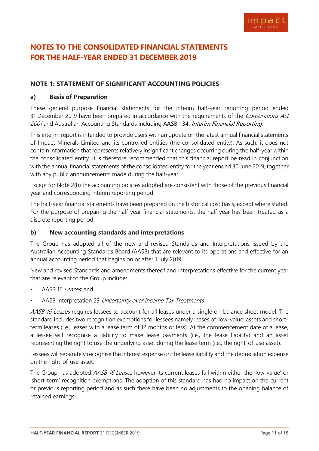# <span id="page-11-0"></span>**NOTES TO THE CONSOLIDATED FINANCIAL STATEMENTS FOR THE HALF-YEAR ENDED 31 DECEMBER 2019**

#### **NOTE 1: STATEMENT OF SIGNIFICANT ACCOUNTING POLICIES**

#### **a) Basis of Preparation**

These general purpose financial statements for the interim half-year reporting period ended 31 December 2019 have been prepared in accordance with the requirements of the Corporations Act 2001 and Australian Accounting Standards including AASB 134: Interim Financial Reporting.

This interim report is intended to provide users with an update on the latest annual financial statements of Impact Minerals Limited and its controlled entities (the consolidated entity). As such, it does not contain information that represents relatively insignificant changes occurring during the half-year within the consolidated entity. It is therefore recommended that this financial report be read in conjunction with the annual financial statements of the consolidated entity for the year ended 30 June 2019, together with any public announcements made during the half-year.

Except for Note 2(b) the accounting policies adopted are consistent with those of the previous financial year and corresponding interim reporting period.

The half-year financial statements have been prepared on the historical cost basis, except where stated. For the purpose of preparing the half-year financial statements, the half-year has been treated as a discrete reporting period.

#### **b) New accounting standards and interpretations**

The Group has adopted all of the new and revised Standards and Interpretations issued by the Australian Accounting Standards Board (AASB) that are relevant to its operations and effective for an annual accounting period that begins on or after 1 July 2019.

New and revised Standards and amendments thereof and Interpretations effective for the current year that are relevant to the Group include:

- AASB 16 Leases, and
- AASB Interpretation 23 Uncertainty over Income Tax Treatments.

AASB 16 Leases requires lessees to account for all leases under a single on-balance sheet model. The standard includes two recognition exemptions for lessees namely leases of 'low-value' assets and shortterm leases (i.e., leases with a lease term of 12 months or less). At the commencement date of a lease, a lessee will recognise a liability to make lease payments (i.e., the lease liability) and an asset representing the right to use the underlying asset during the lease term (i.e., the right-of-use asset).

Lessees will separately recognise the interest expense on the lease liability and the depreciation expense on the right-of-use asset.

The Group has adopted *AASB 16 Leases* however its current leases fall within either the 'low-value' or 'short-term' recognition exemptions. The adoption of this standard has had no impact on the current or previous reporting period and as such there have been no adjustments to the opening balance of retained earnings.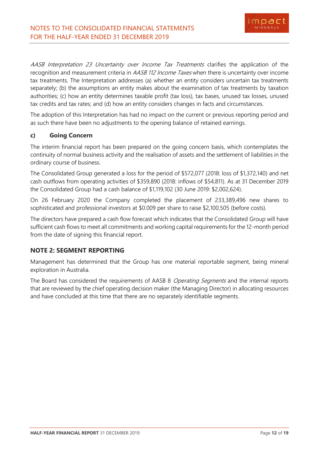AASB Interpretation 23 Uncertainty over Income Tax Treatments clarifies the application of the recognition and measurement criteria in AASB 112 Income Taxes when there is uncertainty over income tax treatments. The Interpretation addresses (a) whether an entity considers uncertain tax treatments separately; (b) the assumptions an entity makes about the examination of tax treatments by taxation authorities; (c) how an entity determines taxable profit (tax loss), tax bases, unused tax losses, unused tax credits and tax rates; and (d) how an entity considers changes in facts and circumstances.

The adoption of this Interpretation has had no impact on the current or previous reporting period and as such there have been no adjustments to the opening balance of retained earnings.

#### **c) Going Concern**

The interim financial report has been prepared on the going concern basis, which contemplates the continuity of normal business activity and the realisation of assets and the settlement of liabilities in the ordinary course of business.

The Consolidated Group generated a loss for the period of \$572,077 (2018: loss of \$1,372,140) and net cash outflows from operating activities of \$359,890 (2018: inflows of \$54,811). As at 31 December 2019 the Consolidated Group had a cash balance of \$1,119,102 (30 June 2019: \$2,002,624).

On 26 February 2020 the Company completed the placement of 233,389,496 new shares to sophisticated and professional investors at \$0.009 per share to raise \$2,100,505 (before costs).

The directors have prepared a cash flow forecast which indicates that the Consolidated Group will have sufficient cash flows to meet all commitments and working capital requirements for the 12-month period from the date of signing this financial report.

## **NOTE 2: SEGMENT REPORTING**

Management has determined that the Group has one material reportable segment, being mineral exploration in Australia.

The Board has considered the requirements of AASB 8 *Operating Segments* and the internal reports that are reviewed by the chief operating decision maker (the Managing Director) in allocating resources and have concluded at this time that there are no separately identifiable segments.

impac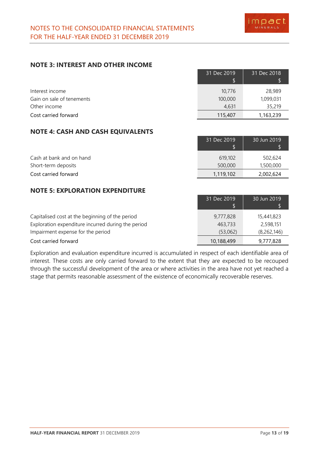30 Jun 2019

30 Jun 2019

### **NOTE 3: INTEREST AND OTHER INCOME**

|                           | 31 Dec 2019 | 31 Dec 2018 |
|---------------------------|-------------|-------------|
| Interest income           | 10,776      | 28,989      |
| Gain on sale of tenements | 100,000     | 1,099,031   |
| Other income              | 4.631       | 35,219      |
| Cost carried forward      | 115,407     | 1,163,239   |

## **NOTE 4: CASH AND CASH EQUIVALENTS**

| Cash at bank and on hand | 619,102   | 502,624   |
|--------------------------|-----------|-----------|
| Short-term deposits      | 500,000   | 1,500,000 |
| Cost carried forward     | 1,119,102 | 2,002,624 |

31 Dec 2019

31 Dec 2019

#### **NOTE 5: EXPLORATION EXPENDITURE**

| Capitalised cost at the beginning of the period    | 9,777,828  | 15,441,823  |
|----------------------------------------------------|------------|-------------|
| Exploration expenditure incurred during the period | 463,733    | 2,598,151   |
| Impairment expense for the period                  | (53,062)   | (8,262,146) |
| Cost carried forward                               | 10,188,499 | 9,777,828   |

Exploration and evaluation expenditure incurred is accumulated in respect of each identifiable area of interest. These costs are only carried forward to the extent that they are expected to be recouped through the successful development of the area or where activities in the area have not yet reached a stage that permits reasonable assessment of the existence of economically recoverable reserves.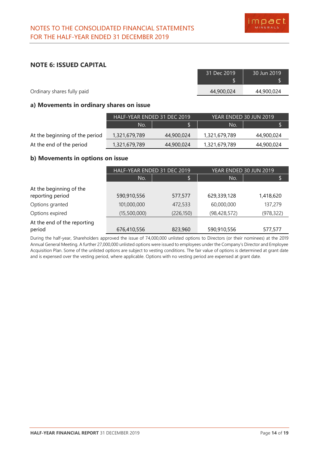

#### **NOTE 6: ISSUED CAPITAL**

|                            | 31 Dec 2019 | 30 Jun 2019 |
|----------------------------|-------------|-------------|
| Ordinary shares fully paid | 44,900,024  | 44,900,024  |

#### **a) Movements in ordinary shares on issue**

|                                | HALF-YEAR ENDED 31 DEC 2019 |            |               | YEAR ENDED 30 JUN 2019 |
|--------------------------------|-----------------------------|------------|---------------|------------------------|
|                                | No.                         |            | No.           |                        |
| At the beginning of the period | 1,321,679,789               | 44,900,024 | 1,321,679,789 | 44,900,024             |
| At the end of the period       | 1,321,679,789               | 44,900,024 | 1,321,679,789 | 44,900,024             |

#### **b) Movements in options on issue**

|                             | HALF-YEAR ENDED 31 DEC 2019 |            | YEAR ENDED 30 JUN 2019 |            |
|-----------------------------|-----------------------------|------------|------------------------|------------|
|                             | No.                         | Ŀ          | No.                    | \$         |
| At the beginning of the     |                             |            |                        |            |
| reporting period            | 590,910,556                 | 577,577    | 629,339,128            | 1,418,620  |
| Options granted             | 101,000,000                 | 472,533    | 60,000,000             | 137,279    |
| Options expired             | (15,500,000)                | (226, 150) | (98, 428, 572)         | (978, 322) |
| At the end of the reporting |                             |            |                        |            |
| period                      | 676,410,556                 | 823,960    | 590,910,556            | 577,577    |

During the half-year, Shareholders approved the issue of 74,000,000 unlisted options to Directors (or their nominees) at the 2019 Annual General Meeting. A further 27,000,000 unlisted options were issued to employees under the Company's Director and Employee Acquisition Plan. Some of the unlisted options are subject to vesting conditions. The fair value of options is determined at grant date and is expensed over the vesting period, where applicable. Options with no vesting period are expensed at grant date.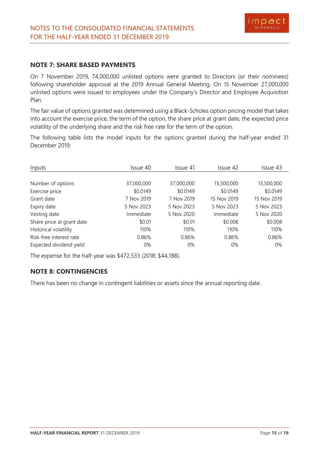#### **NOTE 7: SHARE BASED PAYMENTS**

On 7 November 2019, 74,000,000 unlisted options were granted to Directors (or their nominees) following shareholder approval at the 2019 Annual General Meeting. On 15 November 27,000,000 unlisted options were issued to employees under the Company's Director and Employee Acquisition Plan.

The fair value of options granted was determined using a Black-Scholes option pricing model that takes into account the exercise price, the term of the option, the share price at grant date, the expected price volatility of the underlying share and the risk free rate for the term of the option.

The following table lists the model inputs for the options granted during the half-year ended 31 December 2019:

| Inputs                    | Issue 40   | Issue 41   | Issue 42    | Issue 43    |
|---------------------------|------------|------------|-------------|-------------|
|                           |            |            |             |             |
| Number of options         | 37,000,000 | 37,000,000 | 13,500,000  | 13,500,000  |
| Exercise price            | \$0.0149   | \$0.0149   | \$0.0149    | \$0.0149    |
| Grant date                | 7 Nov 2019 | 7 Nov 2019 | 15 Nov 2019 | 15 Nov 2019 |
| Expiry date               | 5 Nov 2023 | 5 Nov 2023 | 5 Nov 2023  | 5 Nov 2023  |
| Vesting date              | Immediate  | 5 Nov 2020 | Immediate   | 5 Nov 2020  |
| Share price at grant date | \$0.01     | \$0.01     | \$0.008     | \$0.008     |
| Historical volatility     | 110%       | 110%       | 110%        | 110%        |
| Risk-free interest rate   | 0.86%      | 0.86%      | 0.86%       | 0.86%       |
| Expected dividend yield   | 0%         | $0\%$      | $0\%$       | 0%          |

The expense for the half-year was \$472,533 (2018: \$44,188).

## **NOTE 8: CONTINGENCIES**

There has been no change in contingent liabilities or assets since the annual reporting date.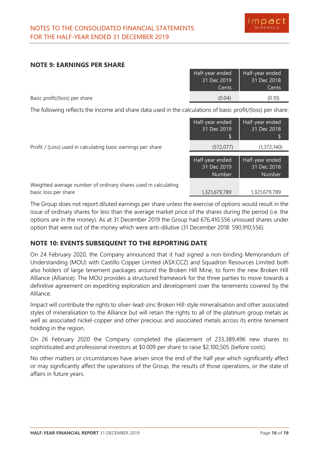#### **NOTE 9: EARNINGS PER SHARE**

|                               | Half-year ended | Half-year ended |
|-------------------------------|-----------------|-----------------|
|                               | 31 Dec 2019     | 31 Dec 2018     |
|                               | Cents           | Cents           |
| Basic profit/(loss) per share | (0.04)          | (0.10)          |

The following reflects the income and share data used in the calculations of basic profit/(loss) per share:

|                                                                                        | Half-year ended<br>31 Dec 2019<br>\$     | Half-year ended<br>31 Dec 2018<br>S             |
|----------------------------------------------------------------------------------------|------------------------------------------|-------------------------------------------------|
| Profit / (Loss) used in calculating basic earnings per share                           | (572, 077)                               | (1, 372, 140)                                   |
|                                                                                        | Half-year ended<br>31 Dec 2019<br>Number | Half-year ended<br>31 Dec 2018<br><b>Number</b> |
| Weighted average number of ordinary shares used in calculating<br>basic loss per share | 1,321,679,789                            | 1,321,679,789                                   |

The Group does not report diluted earnings per share unless the exercise of options would result in the issue of ordinary shares for less than the average market price of the shares during the period (i.e. the options are in the money). As at 31 December 2019 the Group had 676,410,556 unissued shares under option that were out of the money which were anti-dilutive (31 December 2018: 590,910,556).

## **NOTE 10: EVENTS SUBSEQUENT TO THE REPORTING DATE**

On 24 February 2020, the Company announced that it had signed a non-binding Memorandum of Understanding (MOU) with Castillo Copper Limited (ASX:CCZ) and Squadron Resources Limited both also holders of large tenement packages around the Broken Hill Mine, to form the new Broken Hill Alliance (Alliance). The MOU provides a structured framework for the three parties to move towards a definitive agreement on expediting exploration and development over the tenements covered by the Alliance.

Impact will contribute the rights to silver-lead-zinc Broken Hill-style mineralisation and other associated styles of mineralisation to the Alliance but will retain the rights to all of the platinum group metals as well as associated nickel-copper and other precious and associated metals across its entire tenement holding in the region.

On 26 February 2020 the Company completed the placement of 233,389,496 new shares to sophisticated and professional investors at \$0.009 per share to raise \$2,100,505 (before costs).

No other matters or circumstances have arisen since the end of the half year which significantly affect or may significantly affect the operations of the Group, the results of those operations, or the state of affairs in future years.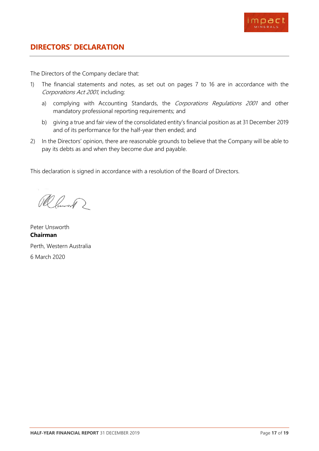

<span id="page-17-0"></span>The Directors of the Company declare that:

- 1) The financial statements and notes, as set out on pages 7 to 16 are in accordance with the Corporations Act 2001, including:
	- a) complying with Accounting Standards, the Corporations Regulations 2001 and other mandatory professional reporting requirements; and
	- b) giving a true and fair view of the consolidated entity's financial position as at 31 December 2019 and of its performance for the half-year then ended; and
- 2) In the Directors' opinion, there are reasonable grounds to believe that the Company will be able to pay its debts as and when they become due and payable.

This declaration is signed in accordance with a resolution of the Board of Directors.

Ramont 2

Peter Unsworth **Chairman** Perth, Western Australia 6 March 2020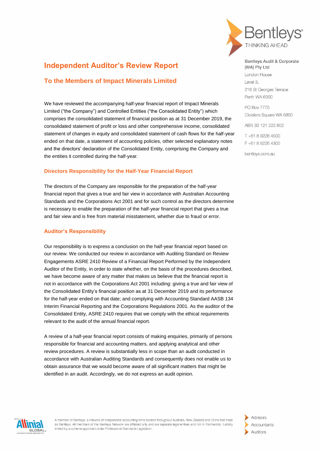

## **Independent Auditor's Review Report**

### **To the Members of Impact Minerals Limited**

We have reviewed the accompanying half-year financial report of Impact Minerals Limited ("the Company") and Controlled Entities ("the Consolidated Entity") which comprises the consolidated statement of financial position as at 31 December 2019, the consolidated statement of profit or loss and other comprehensive income, consolidated statement of changes in equity and consolidated statement of cash flows for the half-year ended on that date, a statement of accounting policies, other selected explanatory notes and the directors' declaration of the Consolidated Entity, comprising the Company and the entities it controlled during the half-year.

#### **Directors Responsibility for the Half-Year Financial Report**

The directors of the Company are responsible for the preparation of the half-year financial report that gives a true and fair view in accordance with Australian Accounting Standards and the Corporations Act 2001 and for such control as the directors determine is necessary to enable the preparation of the half-year financial report that gives a true and fair view and is free from material misstatement, whether due to fraud or error.

#### **Auditor's Responsibility**

Our responsibility is to express a conclusion on the half-year financial report based on our review. We conducted our review in accordance with Auditing Standard on Review Engagements ASRE 2410 Review of a Financial Report Performed by the Independent Auditor of the Entity, in order to state whether, on the basis of the procedures described, we have become aware of any matter that makes us believe that the financial report is not in accordance with the Corporations Act 2001 including: giving a true and fair view of the Consolidated Entity's financial position as at 31 December 2019 and its performance for the half-year ended on that date; and complying with Accounting Standard AASB 134 Interim Financial Reporting and the Corporations Regulations 2001. As the auditor of the Consolidated Entity, ASRE 2410 requires that we comply with the ethical requirements relevant to the audit of the annual financial report.

A review of a half-year financial report consists of making enquiries, primarily of persons responsible for financial and accounting matters, and applying analytical and other review procedures. A review is substantially less in scope than an audit conducted in accordance with Australian Auditing Standards and consequently does not enable us to obtain assurance that we would become aware of all significant matters that might be identified in an audit. Accordingly, we do not express an audit opinion.

Bentleys Audit & Corporate (WA) Pty Ltd

London House Level 3, 216 St Georges Terrace Perth WA 6000

PO Box 7775 Cloisters Square WA 6850

ABN 33 121 222 802

T+61 8 9226 4500 F +61 8 9226 4300

bentlevs.com.au



A member of Bentleys, a network of independent accounting firms located throughout Australia, New Zealand and China that trade as Bentleys. All members of the Bentleys Network are affiliated only and are separate legal entities and not in Partnership. Liability limited by a scheme approved under Professional Standards Legislation.

Advisors Accountants Auditors